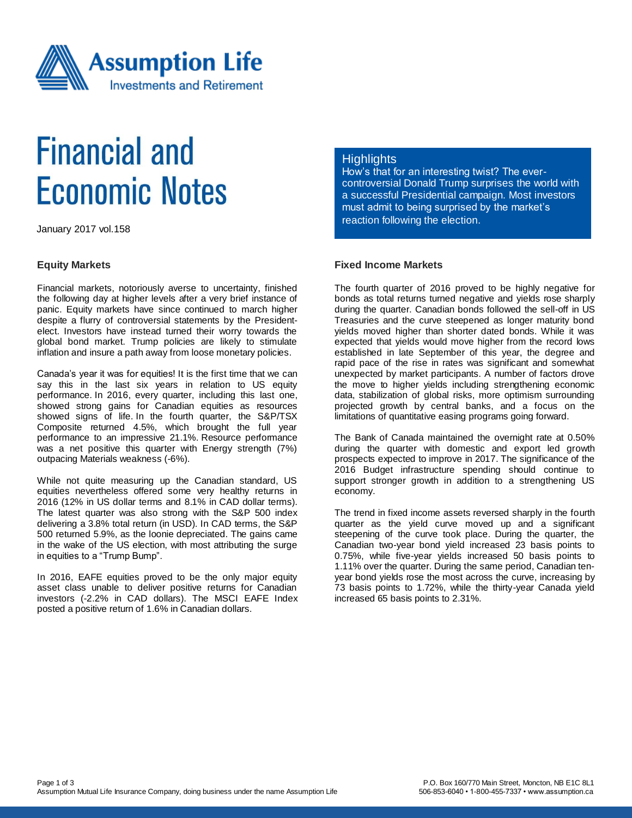

# **Financial and Economic Notes**

January 2017 vol.158

#### **Equity Markets**

Financial markets, notoriously averse to uncertainty, finished the following day at higher levels after a very brief instance of panic. Equity markets have since continued to march higher despite a flurry of controversial statements by the Presidentelect. Investors have instead turned their worry towards the global bond market. Trump policies are likely to stimulate inflation and insure a path away from loose monetary policies.

Canada's year it was for equities! It is the first time that we can say this in the last six years in relation to US equity performance. In 2016, every quarter, including this last one, showed strong gains for Canadian equities as resources showed signs of life. In the fourth quarter, the S&P/TSX Composite returned 4.5%, which brought the full year performance to an impressive 21.1%. Resource performance was a net positive this quarter with Energy strength (7%) outpacing Materials weakness (-6%).

While not quite measuring up the Canadian standard, US equities nevertheless offered some very healthy returns in 2016 (12% in US dollar terms and 8.1% in CAD dollar terms). The latest quarter was also strong with the S&P 500 index delivering a 3.8% total return (in USD). In CAD terms, the S&P 500 returned 5.9%, as the loonie depreciated. The gains came in the wake of the US election, with most attributing the surge in equities to a "Trump Bump".

In 2016, EAFE equities proved to be the only major equity asset class unable to deliver positive returns for Canadian investors (-2.2% in CAD dollars). The MSCI EAFE Index posted a positive return of 1.6% in Canadian dollars.

### **Highlights**

How's that for an interesting twist? The evercontroversial Donald Trump surprises the world with a successful Presidential campaign. Most investors must admit to being surprised by the market's reaction following the election.

## **Fixed Income Markets**

The fourth quarter of 2016 proved to be highly negative for bonds as total returns turned negative and yields rose sharply during the quarter. Canadian bonds followed the sell-off in US Treasuries and the curve steepened as longer maturity bond yields moved higher than shorter dated bonds. While it was expected that yields would move higher from the record lows established in late September of this year, the degree and rapid pace of the rise in rates was significant and somewhat unexpected by market participants. A number of factors drove the move to higher yields including strengthening economic data, stabilization of global risks, more optimism surrounding projected growth by central banks, and a focus on the limitations of quantitative easing programs going forward.

The Bank of Canada maintained the overnight rate at 0.50% during the quarter with domestic and export led growth prospects expected to improve in 2017. The significance of the 2016 Budget infrastructure spending should continue to support stronger growth in addition to a strengthening US economy.

The trend in fixed income assets reversed sharply in the fourth quarter as the yield curve moved up and a significant steepening of the curve took place. During the quarter, the Canadian two-year bond yield increased 23 basis points to 0.75%, while five-year yields increased 50 basis points to 1.11% over the quarter. During the same period, Canadian tenyear bond yields rose the most across the curve, increasing by 73 basis points to 1.72%, while the thirty-year Canada yield increased 65 basis points to 2.31%.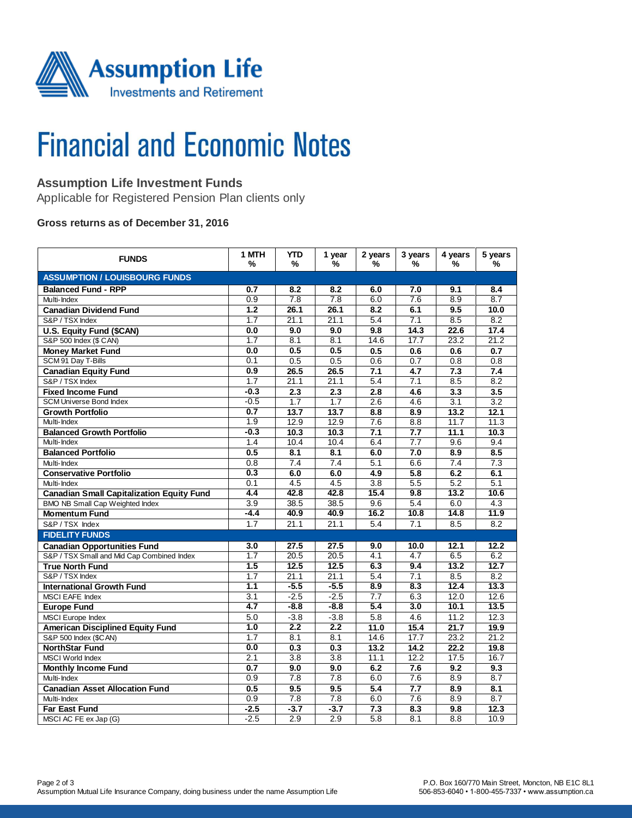

# **Financial and Economic Notes**

# **Assumption Life Investment Funds**

Applicable for Registered Pension Plan clients only

#### **Gross returns as of December 31, 2016**

| <b>FUNDS</b>                                     | 1 MTH<br>%       | <b>YTD</b><br>%  | 1 year<br>%      | 2 years<br>%     | 3 years<br>%     | 4 years<br>%     | 5 years<br>%     |  |  |  |  |
|--------------------------------------------------|------------------|------------------|------------------|------------------|------------------|------------------|------------------|--|--|--|--|
| <b>ASSUMPTION / LOUISBOURG FUNDS</b>             |                  |                  |                  |                  |                  |                  |                  |  |  |  |  |
| <b>Balanced Fund - RPP</b>                       | 0.7              | 8.2              | 8.2              | 6.0              | 7.0              | 9.1              | 8.4              |  |  |  |  |
| Multi-Index                                      | 0.9              | 7.8              | 7.8              | 6.0              | 7.6              | 8.9              | 8.7              |  |  |  |  |
| <b>Canadian Dividend Fund</b>                    | 1.2              | 26.1             | 26.1             | 8.2              | 6.1              | 9.5              | 10.0             |  |  |  |  |
| S&P / TSX Index                                  | 1.7              | 21.1             | 21.1             | 5.4              | 7.1              | 8.5              | $\overline{8.2}$ |  |  |  |  |
| U.S. Equity Fund (\$CAN)                         | 0.0              | 9.0              | 9.0              | 9.8              | 14.3             | 22.6             | 17.4             |  |  |  |  |
| S&P 500 Index (\$ CAN)                           | 1.7              | 8.1              | 8.1              | 14.6             | 17.7             | 23.2             | 21.2             |  |  |  |  |
| <b>Money Market Fund</b>                         | 0.0              | 0.5              | 0.5              | 0.5              | 0.6              | 0.6              | 0.7              |  |  |  |  |
| SCM 91 Day T-Bills                               | 0.1              | 0.5              | 0.5              | 0.6              | 0.7              | 0.8              | 0.8              |  |  |  |  |
| <b>Canadian Equity Fund</b>                      | 0.9              | 26.5             | 26.5             | 7.1              | 4.7              | 7.3              | 7.4              |  |  |  |  |
| S&P / TSX Index                                  | 1.7              | 21.1             | 21.1             | 5.4              | 7.1              | 8.5              | 8.2              |  |  |  |  |
| <b>Fixed Income Fund</b>                         | $-0.3$           | 2.3              | 2.3              | 2.8              | 4.6              | 3.3              | 3.5              |  |  |  |  |
| <b>SCM Universe Bond Index</b>                   | $-0.5$           | $\overline{1.7}$ | $\overline{1.7}$ | 2.6              | 4.6              | $\overline{3.1}$ | $\overline{3.2}$ |  |  |  |  |
| <b>Growth Portfolio</b>                          | 0.7              | 13.7             | 13.7             | 8.8              | 8.9              | 13.2             | 12.1             |  |  |  |  |
| Multi-Index                                      | $\overline{1.9}$ | 12.9             | 12.9             | 7.6              | 8.8              | 11.7             | 11.3             |  |  |  |  |
| <b>Balanced Growth Portfolio</b>                 | $-0.3$           | 10.3             | 10.3             | 7.1              | 7.7              | 11.1             | 10.3             |  |  |  |  |
| Multi-Index                                      | 1.4              | 10.4             | 10.4             | 6.4              | $\overline{7.7}$ | 9.6              | 9.4              |  |  |  |  |
| <b>Balanced Portfolio</b>                        | 0.5              | 8.1              | $\overline{8.1}$ | 6.0              | 7.0              | $\overline{8.9}$ | 8.5              |  |  |  |  |
| Multi-Index                                      | 0.8              | 7.4              | 7.4              | 5.1              | 6.6              | 7.4              | 7.3              |  |  |  |  |
| <b>Conservative Portfolio</b>                    | 0.3              | 6.0              | 6.0              | 4.9              | 5.8              | 6.2              | 6.1              |  |  |  |  |
| Multi-Index                                      | 0.1              | 4.5              | 4.5              | 3.8              | 5.5              | 5.2              | 5.1              |  |  |  |  |
| <b>Canadian Small Capitalization Equity Fund</b> | $\overline{4.4}$ | 42.8             | 42.8             | 15.4             | 9.8              | 13.2             | 10.6             |  |  |  |  |
| BMO NB Small Cap Weighted Index                  | $\overline{3.9}$ | 38.5             | 38.5             | 9.6              | 5.4              | 6.0              | 4.3              |  |  |  |  |
| <b>Momentum Fund</b>                             | -4.4             | 40.9             | 40.9             | 16.2             | 10.8             | 14.8             | 11.9             |  |  |  |  |
| S&P/TSX Index                                    | 1.7              | 21.1             | 21.1             | 5.4              | 7.1              | 8.5              | 8.2              |  |  |  |  |
| <b>FIDELITY FUNDS</b>                            |                  |                  |                  |                  |                  |                  |                  |  |  |  |  |
| <b>Canadian Opportunities Fund</b>               | 3.0              | 27.5             | 27.5             | 9.0              | 10.0             | 12.1             | 12.2             |  |  |  |  |
| S&P / TSX Small and Mid Cap Combined Index       | 1.7              | 20.5             | 20.5             | 4.1              | 4.7              | 6.5              | 6.2              |  |  |  |  |
| <b>True North Fund</b>                           | 1.5              | 12.5             | 12.5             | 6.3              | 9.4              | 13.2             | 12.7             |  |  |  |  |
| S&P / TSX Index                                  | 1.7              | 21.1             | 21.1             | 5.4              | 7.1              | 8.5              | 8.2              |  |  |  |  |
| <b>International Growth Fund</b>                 | 1.1              | $-5.5$           | $-5.5$           | 8.9              | 8.3              | 12.4             | 13.3             |  |  |  |  |
| <b>MSCI EAFE Index</b>                           | 3.1              | $-2.5$           | $-2.5$           | $\overline{7.7}$ | 6.3              | 12.0             | 12.6             |  |  |  |  |
| <b>Europe Fund</b>                               | 4.7              | $-8.8$           | $-8.8$           | 5.4              | 3.0              | 10.1             | 13.5             |  |  |  |  |
| <b>MSCI</b> Europe Index                         | 5.0              | $-3.8$           | $-3.8$           | 5.8              | 4.6              | 11.2             | 12.3             |  |  |  |  |
| <b>American Disciplined Equity Fund</b>          | 1.0              | 2.2              | 2.2              | 11.0             | 15.4             | 21.7             | 19.9             |  |  |  |  |
| S&P 500 Index (\$CAN)                            | 1.7              | 8.1              | 8.1              | 14.6             | 17.7             | 23.2             | 21.2             |  |  |  |  |
| <b>NorthStar Fund</b>                            | 0.0              | 0.3              | 0.3              | 13.2             | 14.2             | 22.2             | 19.8             |  |  |  |  |
| <b>MSCI World Index</b>                          | 2.1              | $\overline{3.8}$ | $\overline{3.8}$ | 11.1             | 12.2             | 17.5             | 16.7             |  |  |  |  |
| <b>Monthly Income Fund</b>                       | 0.7              | 9.0              | 9.0              | 6.2              | 7.6              | 9.2              | 9.3              |  |  |  |  |
| Multi-Index                                      | 0.9              | $\overline{7.8}$ | $\overline{7.8}$ | 6.0              | $\overline{7.6}$ | 8.9              | $\overline{8.7}$ |  |  |  |  |
| <b>Canadian Asset Allocation Fund</b>            | 0.5              | 9.5              | 9.5              | 5.4              | $\overline{7.7}$ | 8.9              | 8.1              |  |  |  |  |
| Multi-Index                                      | 0.9              | 7.8              | 7.8              | 6.0              | 7.6              | 8.9              | 8.7              |  |  |  |  |
| <b>Far East Fund</b>                             | $-2.5$           | $-3.7$           | $-3.7$           | 7.3              | 8.3              | 9.8              | 12.3             |  |  |  |  |
| MSCI AC FE ex Jap (G)                            | $-2.5$           | 2.9              | 2.9              | $\overline{5.8}$ | 8.1              | 8.8              | 10.9             |  |  |  |  |